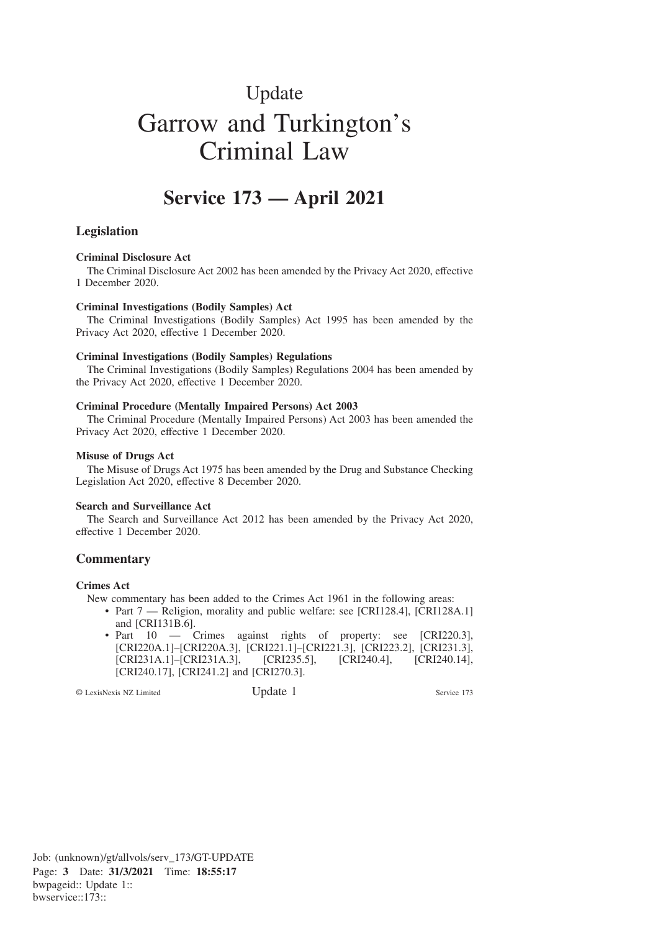# Update Garrow and Turkington's Criminal Law

# **Service 173 — April 2021**

## **Legislation**

#### **Criminal Disclosure Act**

The Criminal Disclosure Act 2002 has been amended by the Privacy Act 2020, effective 1 December 2020.

#### **Criminal Investigations (Bodily Samples) Act**

The Criminal Investigations (Bodily Samples) Act 1995 has been amended by the Privacy Act 2020, effective 1 December 2020.

#### **Criminal Investigations (Bodily Samples) Regulations**

The Criminal Investigations (Bodily Samples) Regulations 2004 has been amended by the Privacy Act 2020, effective 1 December 2020.

#### **Criminal Procedure (Mentally Impaired Persons) Act 2003**

The Criminal Procedure (Mentally Impaired Persons) Act 2003 has been amended the Privacy Act 2020, effective 1 December 2020.

#### **Misuse of Drugs Act**

The Misuse of Drugs Act 1975 has been amended by the Drug and Substance Checking Legislation Act 2020, effective 8 December 2020.

#### **Search and Surveillance Act**

The Search and Surveillance Act 2012 has been amended by the Privacy Act 2020, effective 1 December 2020.

### **Commentary**

#### **Crimes Act**

New commentary has been added to the Crimes Act 1961 in the following areas:

- Part 7 Religion, morality and public welfare: see [CRI128.4], [CRI128A.1] and [CRI131B.6].
- Part 10 Crimes against rights of property: see [CRI220.3], [CRI220A.1]–[CRI220A.3], [CRI221.1]–[CRI221.3], [CRI223.2], [CRI231.3], [CRI231A.1]–[CRI231A.3], [CRI235.5], [CRI240.4], [CRI240.14], [CRI240.17], [CRI241.2] and [CRI270.3].

© LexisNexis NZ Limited Update 1 Service 173